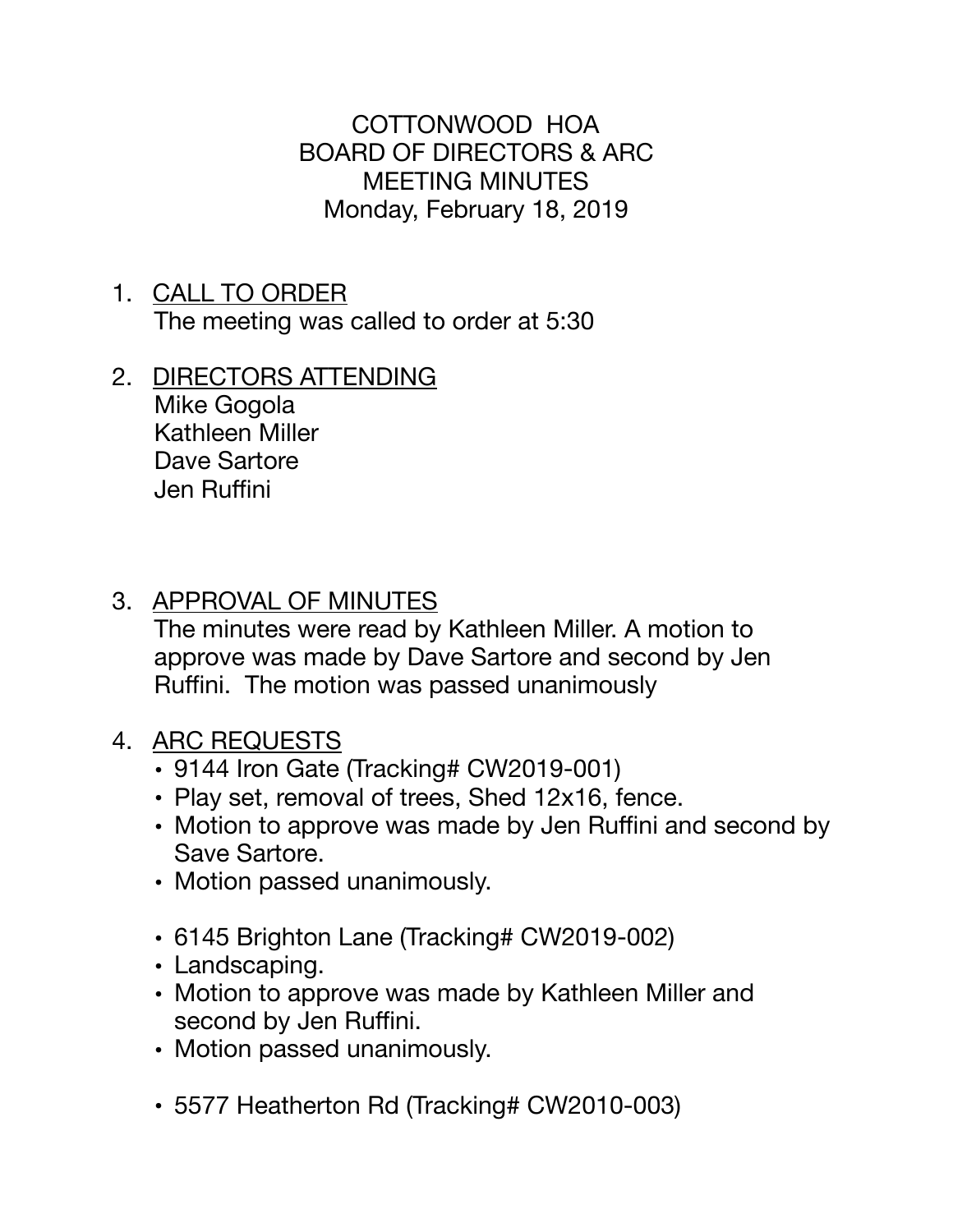COTTONWOOD HOA BOARD OF DIRECTORS & ARC MEETING MINUTES Monday, February 18, 2019

- 1. CALL TO ORDER The meeting was called to order at 5:30
- 2. DIRECTORS ATTENDING Mike Gogola Kathleen Miller Dave Sartore Jen Ruffini

## 3. APPROVAL OF MINUTES

The minutes were read by Kathleen Miller. A motion to approve was made by Dave Sartore and second by Jen Ruffini. The motion was passed unanimously

- 4. ARC REQUESTS
	- 9144 Iron Gate (Tracking# CW2019-001)
	- Play set, removal of trees, Shed 12x16, fence.
	- Motion to approve was made by Jen Ruffini and second by Save Sartore.
	- Motion passed unanimously.
	- 6145 Brighton Lane (Tracking# CW2019-002)
	- Landscaping.
	- Motion to approve was made by Kathleen Miller and second by Jen Ruffini.
	- Motion passed unanimously.
	- 5577 Heatherton Rd (Tracking# CW2010-003)